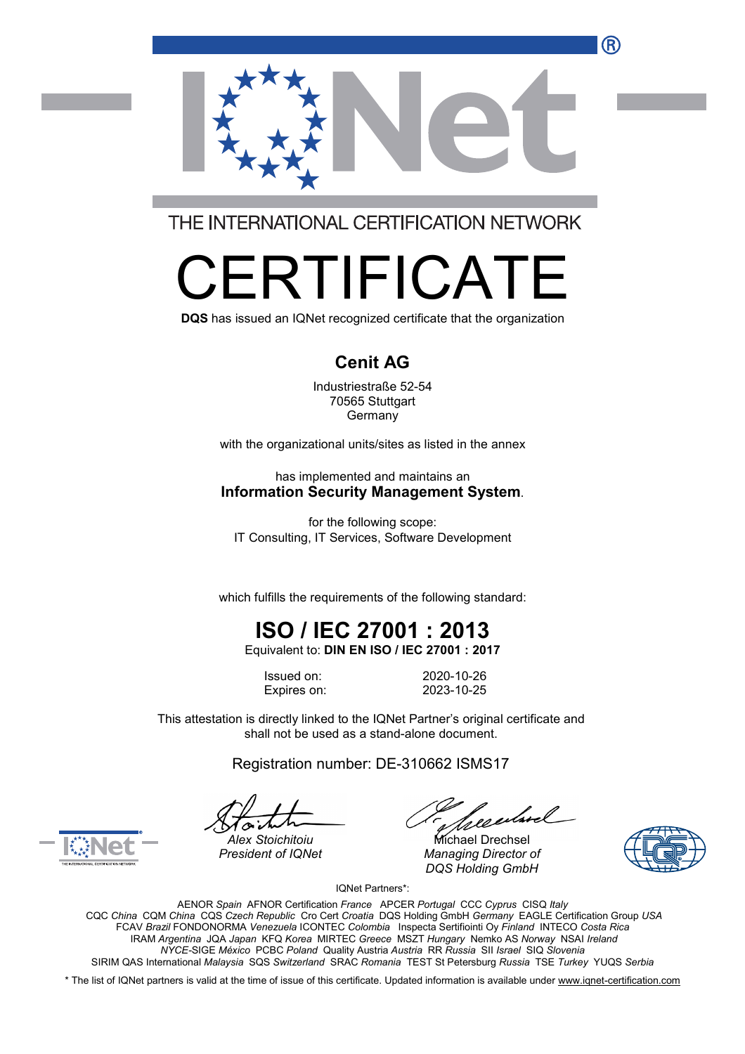

THE INTERNATIONAL CERTIFICATION NETWORK

# RTIFICA

**DQS** has issued an IQNet recognized certificate that the organization

#### **Cenit AG**

Industriestraße 52-54 70565 Stuttgart Germany

with the organizational units/sites as listed in the annex

has implemented and maintains an **Information Security Management System**.

for the following scope: IT Consulting, IT Services, Software Development

which fulfills the requirements of the following standard:

## **ISO / IEC 27001 : 2013**

Equivalent to: **DIN EN ISO / IEC 27001 : 2017**

Issued on: 2020-10-26 Expires on: 2023-10-25

This attestation is directly linked to the IQNet Partner's original certificate and shall not be used as a stand-alone document.

Registration number: DE-310662 ISMS17

*President of IQNet Managing Director of DQS Holding GmbH*





Alex Stoichitoiu **Michael Drechsel** 

IQNet Partners\*:

AENOR *Spain* AFNOR Certification *France* APCER *Portugal* CCC *Cyprus* CISQ *Italy* CQC *China* CQM *China* CQS *Czech Republic* Cro Cert *Croatia* DQS Holding GmbH *Germany* EAGLE Certification Group *USA* FCAV *Brazil* FONDONORMA *Venezuela* ICONTEC *Colombia* Inspecta Sertifiointi Oy *Finland* INTECO *Costa Rica* IRAM *Argentina* JQA *Japan* KFQ *Korea* MIRTEC *Greece* MSZT *Hungary* Nemko AS *Norway* NSAI *Ireland NYCE-*SIGE *México* PCBC *Poland* Quality Austria *Austria* RR *Russia* SII *Israel* SIQ *Slovenia* SIRIM QAS International *Malaysia* SQS *Switzerland* SRAC *Romania* TEST St Petersburg *Russia* TSE *Turkey* YUQS *Serbia*

\* The list of IQNet partners is valid at the time of issue of this certificate. Updated information is available under www.ignet-certification.com